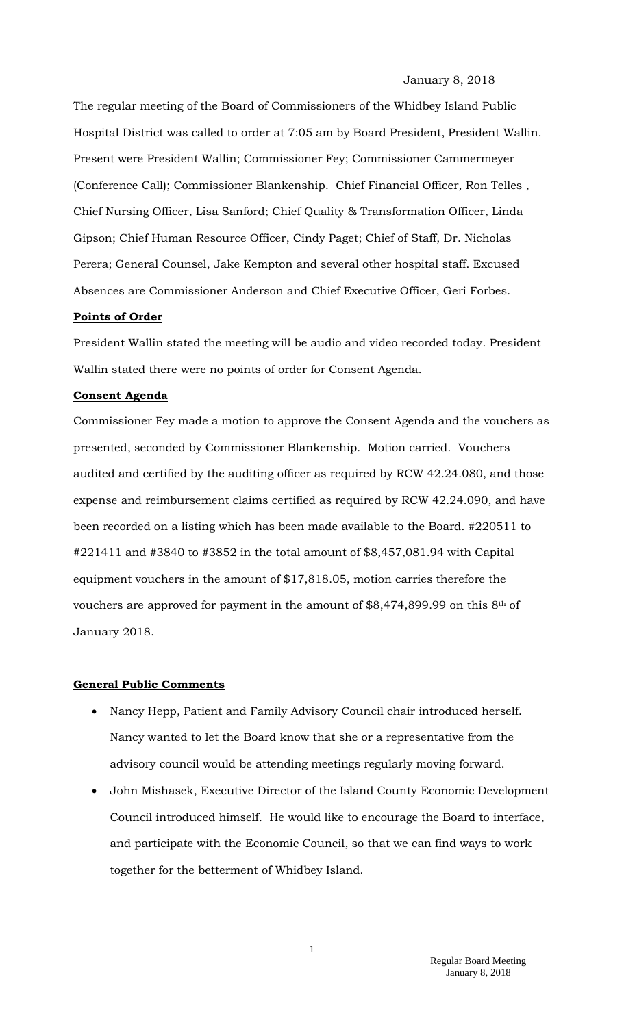#### January 8, 2018

The regular meeting of the Board of Commissioners of the Whidbey Island Public Hospital District was called to order at 7:05 am by Board President, President Wallin. Present were President Wallin; Commissioner Fey; Commissioner Cammermeyer (Conference Call); Commissioner Blankenship. Chief Financial Officer, Ron Telles , Chief Nursing Officer, Lisa Sanford; Chief Quality & Transformation Officer, Linda Gipson; Chief Human Resource Officer, Cindy Paget; Chief of Staff, Dr. Nicholas Perera; General Counsel, Jake Kempton and several other hospital staff. Excused Absences are Commissioner Anderson and Chief Executive Officer, Geri Forbes.

### **Points of Order**

President Wallin stated the meeting will be audio and video recorded today. President Wallin stated there were no points of order for Consent Agenda.

### **Consent Agenda**

Commissioner Fey made a motion to approve the Consent Agenda and the vouchers as presented, seconded by Commissioner Blankenship. Motion carried. Vouchers audited and certified by the auditing officer as required by RCW 42.24.080, and those expense and reimbursement claims certified as required by RCW 42.24.090, and have been recorded on a listing which has been made available to the Board. #220511 to #221411 and #3840 to #3852 in the total amount of \$8,457,081.94 with Capital equipment vouchers in the amount of \$17,818.05, motion carries therefore the vouchers are approved for payment in the amount of  $$8,474,899.99$  on this  $8<sup>th</sup>$  of January 2018.

#### **General Public Comments**

- Nancy Hepp, Patient and Family Advisory Council chair introduced herself. Nancy wanted to let the Board know that she or a representative from the advisory council would be attending meetings regularly moving forward.
- John Mishasek, Executive Director of the Island County Economic Development Council introduced himself. He would like to encourage the Board to interface, and participate with the Economic Council, so that we can find ways to work together for the betterment of Whidbey Island.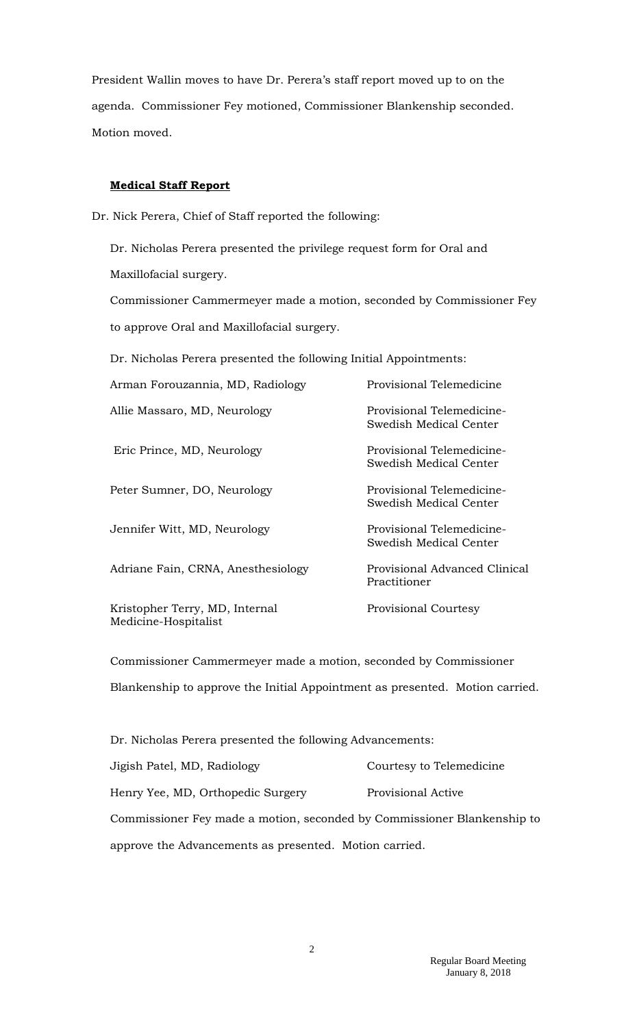President Wallin moves to have Dr. Perera's staff report moved up to on the agenda. Commissioner Fey motioned, Commissioner Blankenship seconded. Motion moved.

## **Medical Staff Report**

Dr. Nick Perera, Chief of Staff reported the following:

Dr. Nicholas Perera presented the privilege request form for Oral and Maxillofacial surgery.

Commissioner Cammermeyer made a motion, seconded by Commissioner Fey to approve Oral and Maxillofacial surgery.

Dr. Nicholas Perera presented the following Initial Appointments:

| Arman Forouzannia, MD, Radiology                       | Provisional Telemedicine                            |
|--------------------------------------------------------|-----------------------------------------------------|
| Allie Massaro, MD, Neurology                           | Provisional Telemedicine-<br>Swedish Medical Center |
| Eric Prince, MD, Neurology                             | Provisional Telemedicine-<br>Swedish Medical Center |
| Peter Sumner, DO, Neurology                            | Provisional Telemedicine-<br>Swedish Medical Center |
| Jennifer Witt, MD, Neurology                           | Provisional Telemedicine-<br>Swedish Medical Center |
| Adriane Fain, CRNA, Anesthesiology                     | Provisional Advanced Clinical<br>Practitioner       |
| Kristopher Terry, MD, Internal<br>Medicine-Hospitalist | <b>Provisional Courtesy</b>                         |

Commissioner Cammermeyer made a motion, seconded by Commissioner Blankenship to approve the Initial Appointment as presented. Motion carried.

| Dr. Nicholas Perera presented the following Advancements:               |                          |
|-------------------------------------------------------------------------|--------------------------|
| Jigish Patel, MD, Radiology                                             | Courtesy to Telemedicine |
| Henry Yee, MD, Orthopedic Surgery                                       | Provisional Active       |
| Commissioner Fey made a motion, seconded by Commissioner Blankenship to |                          |
| approve the Advancements as presented. Motion carried.                  |                          |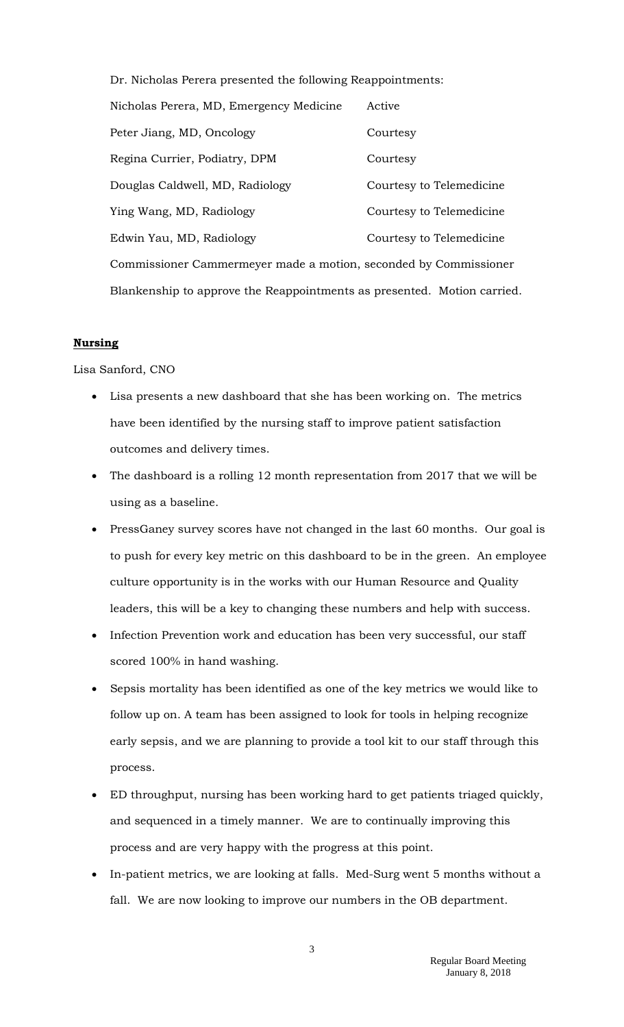Dr. Nicholas Perera presented the following Reappointments: Nicholas Perera, MD, Emergency Medicine Active Peter Jiang, MD, Oncology Courtesy Regina Currier, Podiatry, DPM Courtesy Douglas Caldwell, MD, Radiology Courtesy to Telemedicine Ying Wang, MD, Radiology The Courtesy to Telemedicine Edwin Yau, MD, Radiology Courtesy to Telemedicine Commissioner Cammermeyer made a motion, seconded by Commissioner Blankenship to approve the Reappointments as presented. Motion carried.

#### **Nursing**

Lisa Sanford, CNO

- Lisa presents a new dashboard that she has been working on. The metrics have been identified by the nursing staff to improve patient satisfaction outcomes and delivery times.
- The dashboard is a rolling 12 month representation from 2017 that we will be using as a baseline.
- PressGaney survey scores have not changed in the last 60 months. Our goal is to push for every key metric on this dashboard to be in the green. An employee culture opportunity is in the works with our Human Resource and Quality leaders, this will be a key to changing these numbers and help with success.
- Infection Prevention work and education has been very successful, our staff scored 100% in hand washing.
- Sepsis mortality has been identified as one of the key metrics we would like to follow up on. A team has been assigned to look for tools in helping recognize early sepsis, and we are planning to provide a tool kit to our staff through this process.
- ED throughput, nursing has been working hard to get patients triaged quickly, and sequenced in a timely manner. We are to continually improving this process and are very happy with the progress at this point.
- In-patient metrics, we are looking at falls. Med-Surg went 5 months without a fall. We are now looking to improve our numbers in the OB department.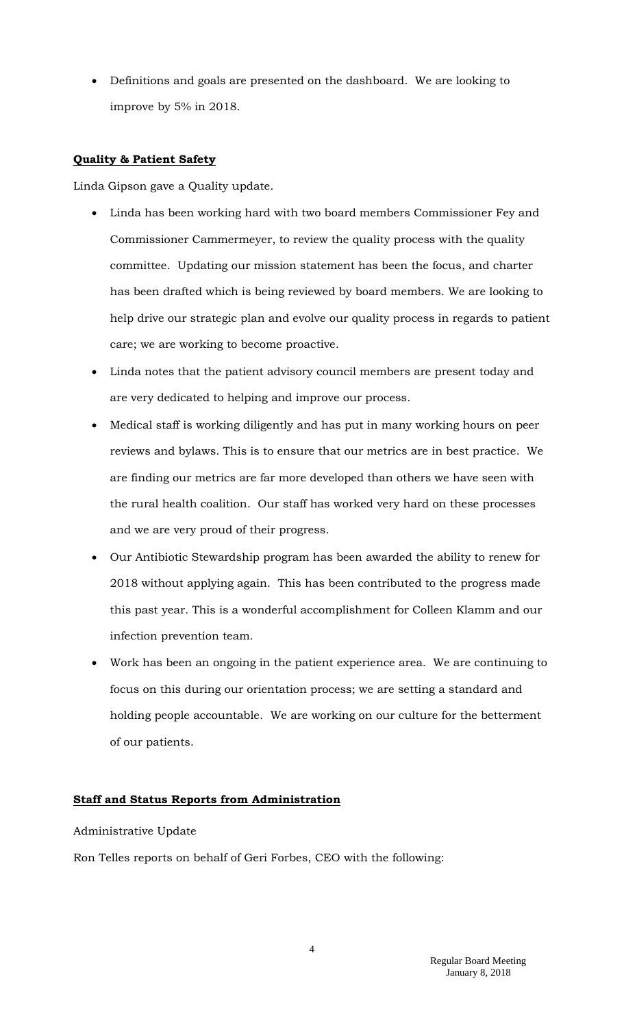• Definitions and goals are presented on the dashboard. We are looking to improve by 5% in 2018.

# **Quality & Patient Safety**

Linda Gipson gave a Quality update.

- Linda has been working hard with two board members Commissioner Fey and Commissioner Cammermeyer, to review the quality process with the quality committee. Updating our mission statement has been the focus, and charter has been drafted which is being reviewed by board members. We are looking to help drive our strategic plan and evolve our quality process in regards to patient care; we are working to become proactive.
- Linda notes that the patient advisory council members are present today and are very dedicated to helping and improve our process.
- Medical staff is working diligently and has put in many working hours on peer reviews and bylaws. This is to ensure that our metrics are in best practice. We are finding our metrics are far more developed than others we have seen with the rural health coalition. Our staff has worked very hard on these processes and we are very proud of their progress.
- Our Antibiotic Stewardship program has been awarded the ability to renew for 2018 without applying again. This has been contributed to the progress made this past year. This is a wonderful accomplishment for Colleen Klamm and our infection prevention team.
- Work has been an ongoing in the patient experience area. We are continuing to focus on this during our orientation process; we are setting a standard and holding people accountable. We are working on our culture for the betterment of our patients.

## **Staff and Status Reports from Administration**

Administrative Update

Ron Telles reports on behalf of Geri Forbes, CEO with the following: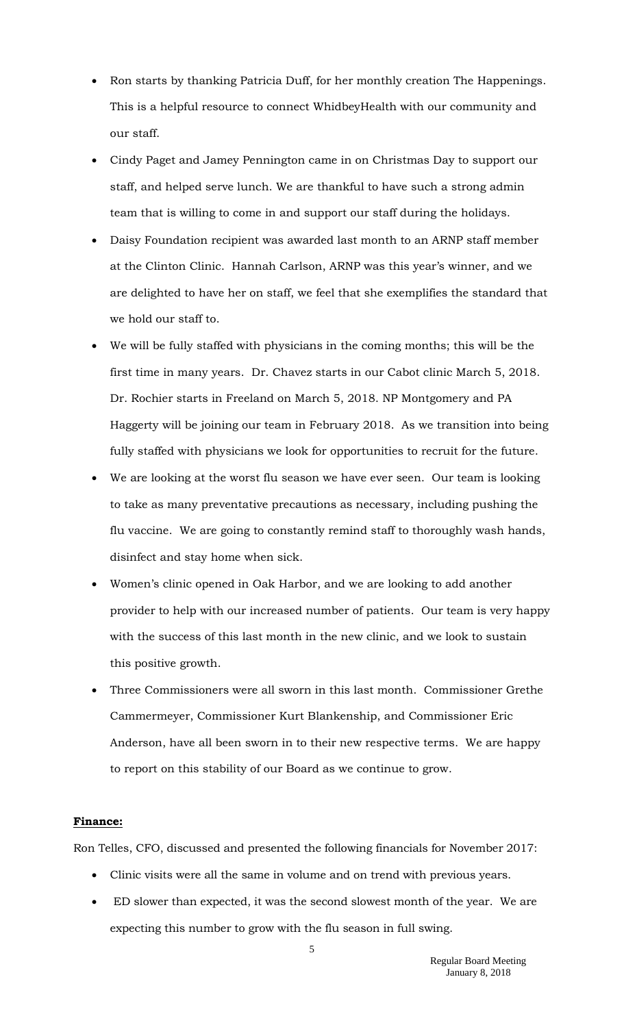- Ron starts by thanking Patricia Duff, for her monthly creation The Happenings. This is a helpful resource to connect WhidbeyHealth with our community and our staff.
- Cindy Paget and Jamey Pennington came in on Christmas Day to support our staff, and helped serve lunch. We are thankful to have such a strong admin team that is willing to come in and support our staff during the holidays.
- Daisy Foundation recipient was awarded last month to an ARNP staff member at the Clinton Clinic. Hannah Carlson, ARNP was this year's winner, and we are delighted to have her on staff, we feel that she exemplifies the standard that we hold our staff to.
- We will be fully staffed with physicians in the coming months; this will be the first time in many years. Dr. Chavez starts in our Cabot clinic March 5, 2018. Dr. Rochier starts in Freeland on March 5, 2018. NP Montgomery and PA Haggerty will be joining our team in February 2018. As we transition into being fully staffed with physicians we look for opportunities to recruit for the future.
- We are looking at the worst flu season we have ever seen. Our team is looking to take as many preventative precautions as necessary, including pushing the flu vaccine. We are going to constantly remind staff to thoroughly wash hands, disinfect and stay home when sick.
- Women's clinic opened in Oak Harbor, and we are looking to add another provider to help with our increased number of patients. Our team is very happy with the success of this last month in the new clinic, and we look to sustain this positive growth.
- Three Commissioners were all sworn in this last month. Commissioner Grethe Cammermeyer, Commissioner Kurt Blankenship, and Commissioner Eric Anderson, have all been sworn in to their new respective terms. We are happy to report on this stability of our Board as we continue to grow.

### **Finance:**

Ron Telles, CFO, discussed and presented the following financials for November 2017:

- Clinic visits were all the same in volume and on trend with previous years.
- ED slower than expected, it was the second slowest month of the year. We are expecting this number to grow with the flu season in full swing.

5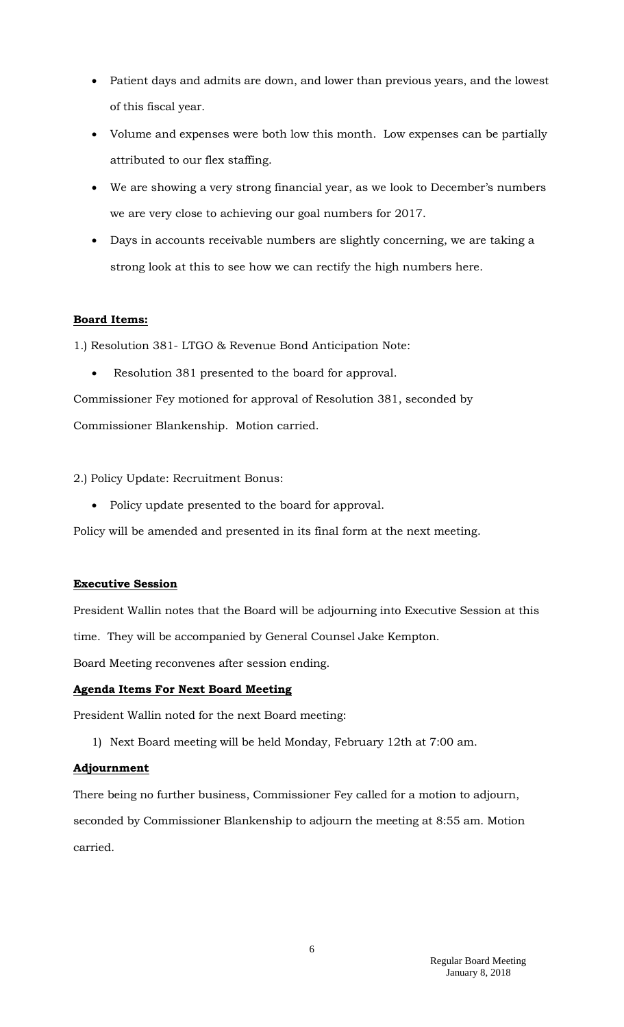- Patient days and admits are down, and lower than previous years, and the lowest of this fiscal year.
- Volume and expenses were both low this month. Low expenses can be partially attributed to our flex staffing.
- We are showing a very strong financial year, as we look to December's numbers we are very close to achieving our goal numbers for 2017.
- Days in accounts receivable numbers are slightly concerning, we are taking a strong look at this to see how we can rectify the high numbers here.

## **Board Items:**

1.) Resolution 381- LTGO & Revenue Bond Anticipation Note:

Resolution 381 presented to the board for approval.

Commissioner Fey motioned for approval of Resolution 381, seconded by Commissioner Blankenship. Motion carried.

2.) Policy Update: Recruitment Bonus:

• Policy update presented to the board for approval.

Policy will be amended and presented in its final form at the next meeting.

## **Executive Session**

President Wallin notes that the Board will be adjourning into Executive Session at this time. They will be accompanied by General Counsel Jake Kempton.

Board Meeting reconvenes after session ending.

## **Agenda Items For Next Board Meeting**

President Wallin noted for the next Board meeting:

1) Next Board meeting will be held Monday, February 12th at 7:00 am.

### **Adjournment**

There being no further business, Commissioner Fey called for a motion to adjourn, seconded by Commissioner Blankenship to adjourn the meeting at 8:55 am. Motion carried.